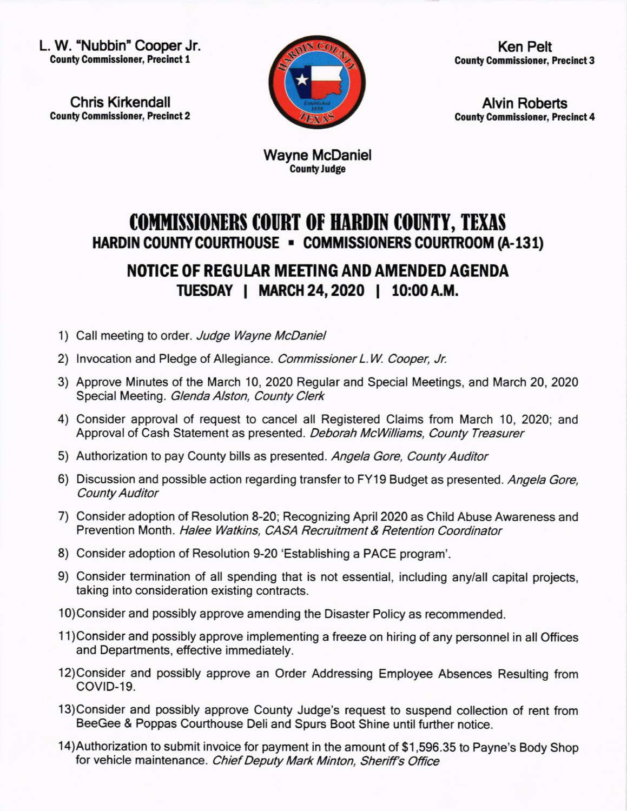L. W. "Nubbin" Cooper Jr. **County Commissioner, Precinct 1** 

Chris Kirkendall **County Commissioner, Precinct 2** 



Ken Pelt **County Commissioner, Precinct 3** 

Alvin Roberts **County Commissioner, Precinct 4** 

Wayne McDaniel **County Judge** 

## COMMISSIONERS COURT OF HARDIN COUNTY, TEXAS HARDIN COUNTY COURTHOUSE - COMMISSIONERS COURTROOM (A-131)

## NOTICE OF REGULAR MEETING AND AMENDED AGENDA IUESDAY I MARCH 24,2020 | 10:@A.M.

- 1) Call meeting to order. Judge Wayne McDaniel
- 2) Invocation and Pledge of Allegiance. Commissioner L.W. Cooper, Jr.
- 3) Approve Minutes of the March 10,2020 Regular and Special Meetings, and March 20,2020 Special Meeting. Glenda Alston, County Clerk
- 4) Consider approval of request to cancel all Registered Claims from March 10, 2020; and Approval of Cash Statement as presented. Deborah McWilliams, County Treasurer
- 5) Authorization to pay County bills as presented. Angela Gore, County Auditor
- 6) Discussion and possible action regarding transfer to FY19 Budget as presented. Angela Gore, County Auditor
- 7) Consider adoption of Resolution 8-20; Recognizing April 2O2O as Child Abuse Awareness and Prevention Month. Halee Watkins, CASA Recruitment & Retention Coordinator
- 8) Consider adoption of Resolution 9-20 'Establishing a PACE program'.
- 9) Consider termination of all spending that is not essential, including any/all capital projects, taking into consideration existing contracts.
- 10)Consider and possibly approve amending the Disaster Policy as recommended.
- 11)Considerand possibly approve implementing a freeze on hiring of any personnel in all Offices and Departments, effective immediately.
- 12)Consider and possibly approve an Order Addressing Employee Absences Resulting from COVID-19.
- 13)Consider and possibly approve County Judge's request to suspend collection of rent from BeeGee & Poppas Courthouse Deli and Spurs Boot Shine until further notice.
- 14)Authorization to submit invoice for payment in the amount of \$1,596.35 to Payne's Body Shop for vehicle maintenance. Chief Deputy Mark Minton, Sheriff's Office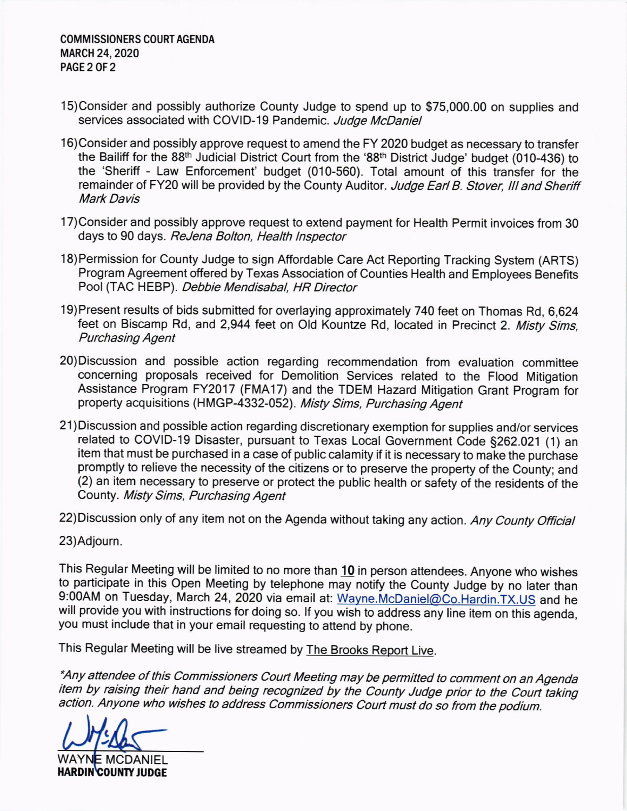## COMMISSIONERS COURT AGENDA MARCH 24,2020 PAGE 2 OF 2

- 15)Considerand possibly authorize County Judge to spend up to \$75,000.00 on supplies and services associated with COVID-19 Pandemic. Judge McDaniel
- 16)Consider and possibly approve request to amend the FY 2020 budget as necessary to transfer the Bailiff for the 88<sup>th</sup> Judicial District Court from the '88<sup>th</sup> District Judge' budget (010-436) to the 'Sheriff - Law Enforcement' budget (010-560). Total amount of this transfer for the remainder of FY20 will be provided by the County Auditor. Judge Earl B. Stover, III and Sheriff Mark Davis
- 17)Consider and possibly approve request to extend payment for Health Permit invoices from 30 days to 90 days. ReJena Bolton, Health lnspector
- 18)Permission for County Judge to sign Affordable Care Act Reporting Tracking System (ARTS) Program Agreement offered by Texas Association of Counties Health and Employees Benefits Pool (TAC HEBP). Debbie Mendisabal, HR Director
- 19)Present results of bids submitted for overlaying approximately 740 feet on Thomas Rd, 6,624 feet on Biscamp Rd, and 2,944 feet on Old Kountze Rd, located in Precinct 2. Misty Sims, Purchasing Agent
- 20) Discussion and possible action regarding recommendation from evaluation committee concerning proposals received for Demolition Services related to the Flood Mitigation Assistance Program FY2017 (FMA17) and the TDEM Hazard Mitigation Grant Program for property acquisitions (HMGP-4332-052). Misty Sims, Purchasing Agent
- 21)Discussion and possible action regarding discretionary exemption for supplies and/or services related to COVID-19 Disaster, pursuant to Texas Local Government Code §262.021 (1) an item that must be purchased in a case of public calamity if it is necessary to make the purchase promptly to relieve the necessity of the citizens or to preserve the property of the County; and (2) an item necessary to preserve or protect the public health or safety of the residents of the County. Misty Sims, Purchasing Agent
- 22) Discussion only of any item not on the Agenda without taking any action. Any County Official

23)Adjourn.

This Regular Meeting will be limited to no more than 10 in person attendees. Anyone who wishes to participate in this Open Meeting by telephone may notify the County Judge by no later than 9:00AM on Tuesday, March 24, 2020 via email at: Wayne.McDaniel@Co.Hardin.TX.US and he will provide you with in structions for doing so. lf you wish to address any line item on this agenda, you must include that <sup>i</sup> n your email requesting to attend by phone.

This Regular Meeting will be live streamed by The Brooks Report Live.

\*Any attendee of this Commissioners Court Meeting may be permitted to comment on an Agenda item by raising their hand and being recognized by the County Judge prior to the Court taking action. Anyone who wishes to address commissioners court must do so from the podium.

C

WAY **E MCDANIEL** HARDIN COUNTY JUDGE